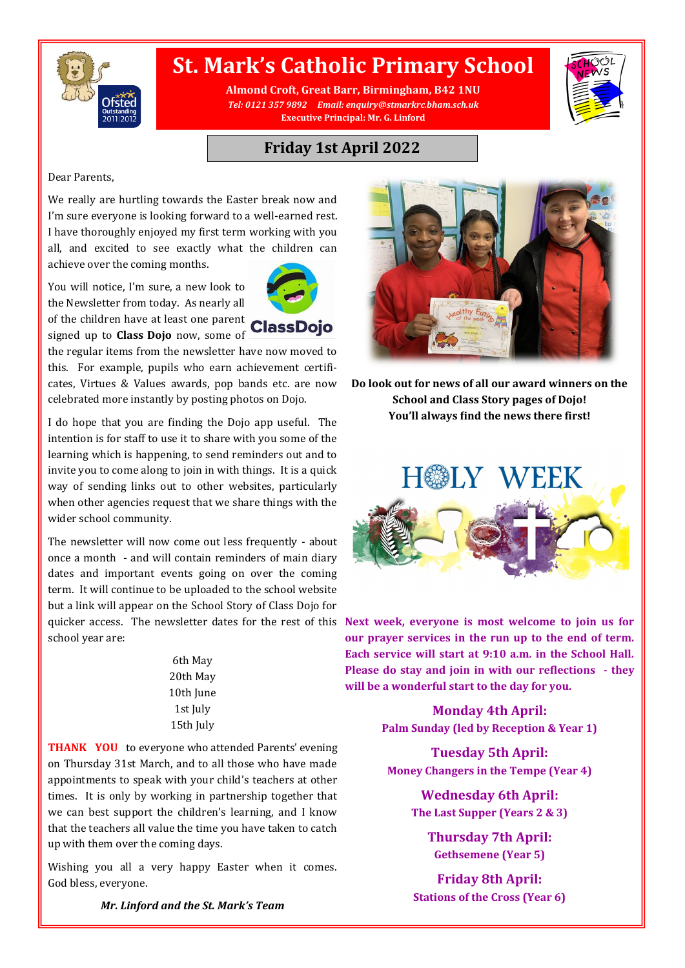

## **St. Mark's Catholic Primary School**

**Almond Croft, Great Barr, Birmingham, B42 1NU** *Tel: 0121 357 9892 Email: enquiry@stmarkrc.bham.sch.uk* **Executive Principal: Mr. G. Linford**



### **Friday 1st April 2022**

#### Dear Parents,

We really are hurtling towards the Easter break now and I'm sure everyone is looking forward to a well-earned rest. I have thoroughly enjoyed my first term working with you all, and excited to see exactly what the children can achieve over the coming months.

You will notice, I'm sure, a new look to the Newsletter from today. As nearly all of the children have at least one parent

signed up to **Class Dojo** now, some of

the regular items from the newsletter have now moved to this. For example, pupils who earn achievement certificates, Virtues & Values awards, pop bands etc. are now celebrated more instantly by posting photos on Dojo.

I do hope that you are finding the Dojo app useful. The intention is for staff to use it to share with you some of the learning which is happening, to send reminders out and to invite you to come along to join in with things. It is a quick way of sending links out to other websites, particularly when other agencies request that we share things with the wider school community.

The newsletter will now come out less frequently - about once a month - and will contain reminders of main diary dates and important events going on over the coming term. It will continue to be uploaded to the school website but a link will appear on the School Story of Class Dojo for school year are:

> 6th May 20th May 10th June 1st July 15th July

**THANK YOU** to everyone who attended Parents' evening on Thursday 31st March, and to all those who have made appointments to speak with your child's teachers at other times. It is only by working in partnership together that we can best support the children's learning, and I know that the teachers all value the time you have taken to catch up with them over the coming days.

Wishing you all a very happy Easter when it comes. God bless, everyone.

**Do look out for news of all our award winners on the School and Class Story pages of Dojo! You'll always find the news there first!**



quicker access. The newsletter dates for the rest of this **Next week, everyone is most welcome to join us for our prayer services in the run up to the end of term. Each service will start at 9:10 a.m. in the School Hall. Please do stay and join in with our reflections - they will be a wonderful start to the day for you.**

> **Monday 4th April: Palm Sunday (led by Reception & Year 1)**

**Tuesday 5th April: Money Changers in the Tempe (Year 4)**

> **Wednesday 6th April: The Last Supper (Years 2 & 3)**

> > **Thursday 7th April: Gethsemene (Year 5)**

**Friday 8th April: Stations of the Cross (Year 6)**

*Mr. Linford and the St. Mark's Team*